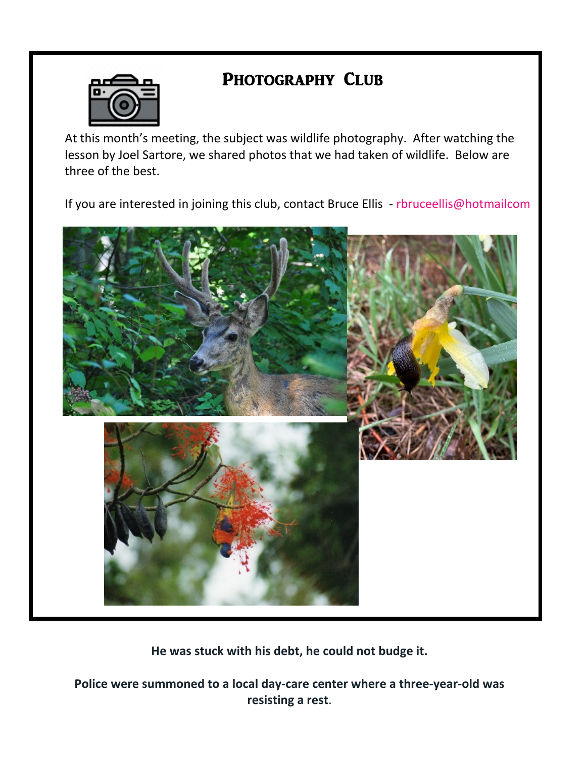#### **PHOTOGRAPHY CLUB**

At this month's meeting, the subject was wildlife photography. After watching the lesson by Joel Sartore, we shared photos that we had taken of wildlife. Below are three of the best.

If you are interested in joining this club, contact Bruce Ellis



**He was stuck with his debt, he could not budge it.**

**Police were summoned to a local day-care center where a three-year-old was resisting a rest**.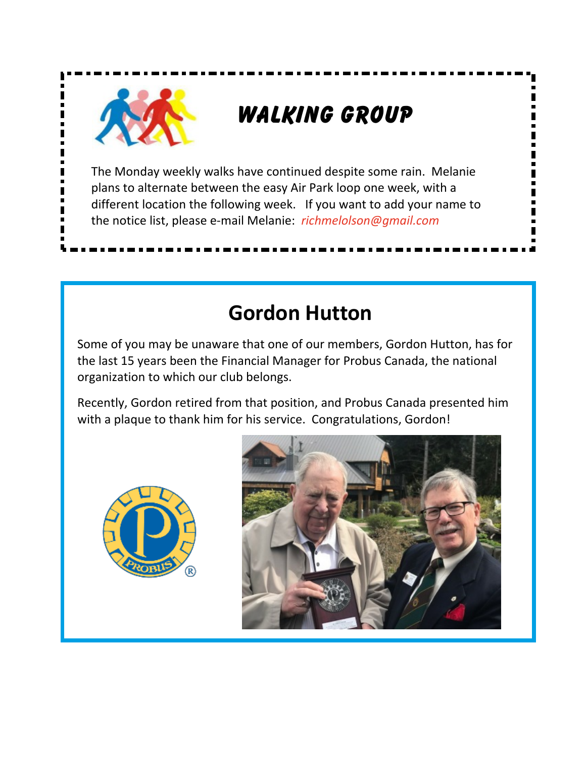# **Walking Group**

The Monday weekly walks have continued despite some rain. Melanie plans to alternate between the easy Air Park loop one week, with a different location the following week. If you want to add your name to the notice list, please e-mail Melanie

# **Gordon Hutton**

Some of you may be unaware that one of our members, Gordon Hutton, has for the last 15 years been the Financial Manager for Probus Canada, the national organization to which our club belongs.

Recently, Gordon retired from that position, and Probus Canada presented him with a plaque to thank him for his service. Congratulations, Gordon!



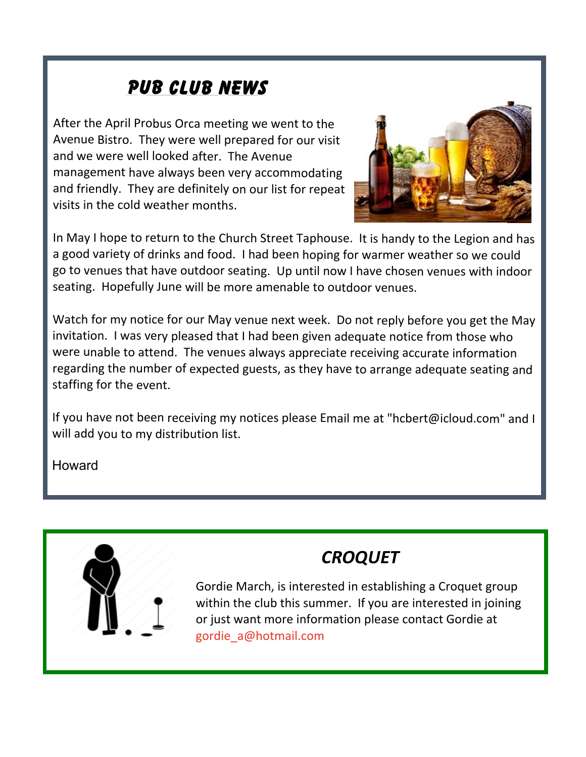### **PUB CLUB NEWS**

After the April Probus Orca meeting we went to the Avenue Bistro. They were well prepared for our visit and we were well looked after. The Avenue management have always been very accommodating and friendly. They are definitely on our list for repeat visits in the cold weather months.



In May I hope to return to the Church Street Taphouse. It is handy to the Legion and has a good variety of drinks and food. I had been hoping for warmer weather so we could go to venues that have outdoor seating. Up until now I have chosen venues with indoor seating. Hopefully June will be more amenable to outdoor venues.

Watch for my notice for our May venue next week. Do not reply before you get the May invitation. I was very pleased that I had been given adequate notice from those who were unable to attend. The venues always appreciate receiving accurate information regarding the number of expected guests, as they have to arrange adequate seating and staffing for the event.

Howard



## *CROQUET*

Gordie March, is interested in establishing a Croquet group within the club this summer. If you are interested in joining or just want more information please contact Gordie